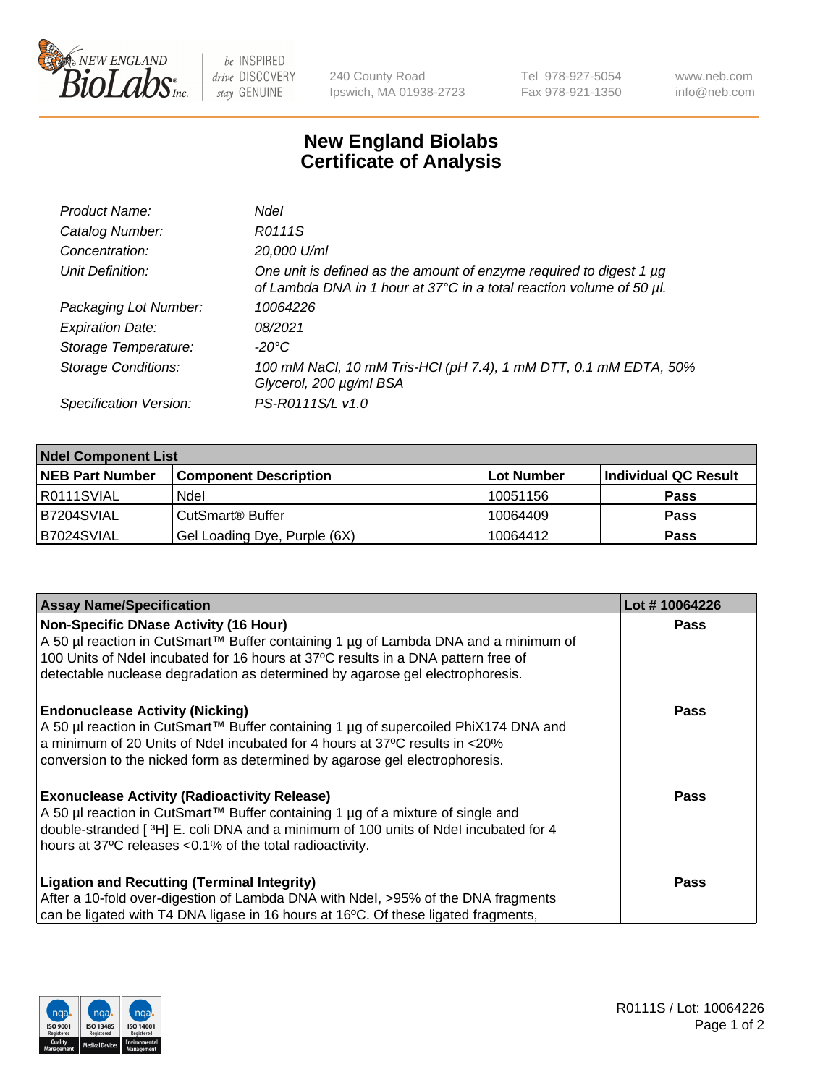

 $be$  INSPIRED drive DISCOVERY stay GENUINE

240 County Road Ipswich, MA 01938-2723 Tel 978-927-5054 Fax 978-921-1350 www.neb.com info@neb.com

## **New England Biolabs Certificate of Analysis**

| Product Name:              | Ndel                                                                                                                                        |
|----------------------------|---------------------------------------------------------------------------------------------------------------------------------------------|
| Catalog Number:            | R0111S                                                                                                                                      |
| Concentration:             | 20,000 U/ml                                                                                                                                 |
| Unit Definition:           | One unit is defined as the amount of enzyme required to digest 1 µg<br>of Lambda DNA in 1 hour at 37°C in a total reaction volume of 50 µl. |
| Packaging Lot Number:      | 10064226                                                                                                                                    |
| <b>Expiration Date:</b>    | 08/2021                                                                                                                                     |
| Storage Temperature:       | -20°C                                                                                                                                       |
| <b>Storage Conditions:</b> | 100 mM NaCl, 10 mM Tris-HCl (pH 7.4), 1 mM DTT, 0.1 mM EDTA, 50%<br>Glycerol, 200 µg/ml BSA                                                 |
| Specification Version:     | PS-R0111S/L v1.0                                                                                                                            |

| <b>Ndel Component List</b> |                              |            |                      |  |  |
|----------------------------|------------------------------|------------|----------------------|--|--|
| <b>NEB Part Number</b>     | <b>Component Description</b> | Lot Number | Individual QC Result |  |  |
| R0111SVIAL                 | Ndel                         | 10051156   | <b>Pass</b>          |  |  |
| IB7204SVIAL                | CutSmart <sup>®</sup> Buffer | 10064409   | <b>Pass</b>          |  |  |
| B7024SVIAL                 | Gel Loading Dye, Purple (6X) | 10064412   | <b>Pass</b>          |  |  |

| <b>Assay Name/Specification</b>                                                                 | Lot #10064226 |
|-------------------------------------------------------------------------------------------------|---------------|
| Non-Specific DNase Activity (16 Hour)                                                           | <b>Pass</b>   |
| A 50 µl reaction in CutSmart™ Buffer containing 1 µg of Lambda DNA and a minimum of             |               |
| 100 Units of Ndel incubated for 16 hours at 37°C results in a DNA pattern free of               |               |
| detectable nuclease degradation as determined by agarose gel electrophoresis.                   |               |
| <b>Endonuclease Activity (Nicking)</b>                                                          | <b>Pass</b>   |
| A 50 µl reaction in CutSmart™ Buffer containing 1 µg of supercoiled PhiX174 DNA and             |               |
| a minimum of 20 Units of Ndel incubated for 4 hours at 37°C results in <20%                     |               |
| conversion to the nicked form as determined by agarose gel electrophoresis.                     |               |
| <b>Exonuclease Activity (Radioactivity Release)</b>                                             | Pass          |
| A 50 µl reaction in CutSmart™ Buffer containing 1 µg of a mixture of single and                 |               |
| double-stranded [3H] E. coli DNA and a minimum of 100 units of Ndel incubated for 4             |               |
| hours at 37°C releases <0.1% of the total radioactivity.                                        |               |
|                                                                                                 | <b>Pass</b>   |
| <b>Ligation and Recutting (Terminal Integrity)</b>                                              |               |
| After a 10-fold over-digestion of Lambda DNA with Ndel, >95% of the DNA fragments               |               |
| can be ligated with T4 DNA ligase in 16 hours at 16 <sup>o</sup> C. Of these ligated fragments, |               |